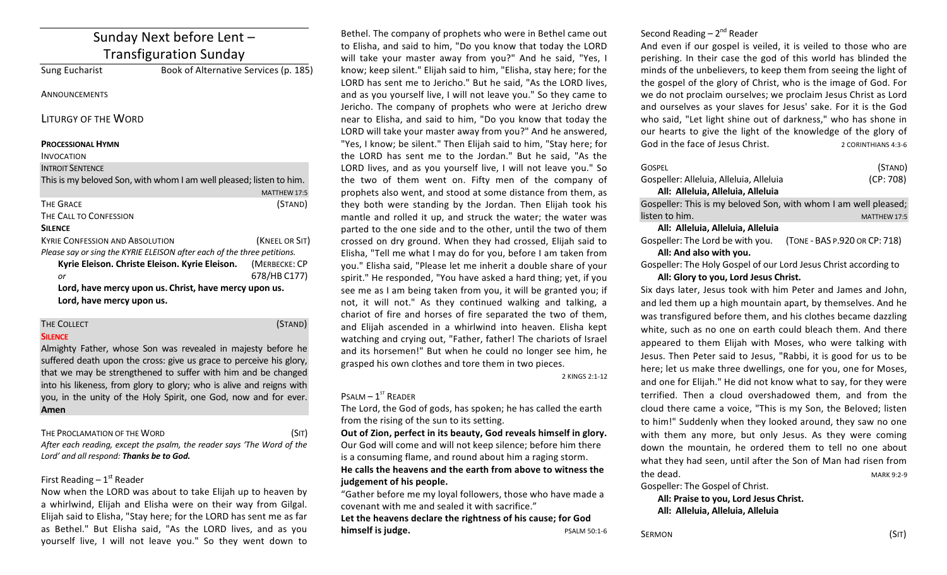|                                                                         | Sunday Next before Lent -             |                |
|-------------------------------------------------------------------------|---------------------------------------|----------------|
|                                                                         | <b>Transfiguration Sunday</b>         |                |
| <b>Sung Eucharist</b>                                                   | Book of Alternative Services (p. 185) |                |
| ANNOUNCEMENTS                                                           |                                       |                |
| <b>LITURGY OF THE WORD</b>                                              |                                       |                |
| <b>PROCESSIONAL HYMN</b>                                                |                                       |                |
| <b>INVOCATION</b>                                                       |                                       |                |
| <b>INTROIT SENTENCE</b>                                                 |                                       |                |
| This is my beloved Son, with whom I am well pleased; listen to him.     |                                       |                |
|                                                                         |                                       | MATTHEW 17:5   |
| <b>THE GRACE</b>                                                        |                                       | (STAND)        |
| THE CALL TO CONFESSION                                                  |                                       |                |
| <b>SILENCE</b>                                                          |                                       |                |
| <b>KYRIE CONFESSION AND ABSOLUTION</b>                                  |                                       | (KNEEL OR SIT) |
| Please say or sing the KYRIE ELEISON after each of the three petitions. |                                       |                |
| Kyrie Eleison. Christe Eleison. Kyrie Eleison.                          |                                       | (MERBECKE: CP  |
| or                                                                      |                                       | 678/HB C177)   |
| Lord, have mercy upon us. Christ, have mercy upon us.                   |                                       |                |
| Lord, have mercy upon us.                                               |                                       |                |
|                                                                         |                                       |                |

# THE COLLECT (STAND)

### **SILENCE**

Almighty Father, whose Son was revealed in majesty before he suffered death upon the cross: give us grace to perceive his glory, that we may be strengthened to suffer with him and be changed into his likeness, from glory to glory; who is alive and reigns with you, in the unity of the Holy Spirit, one God, now and for ever. **Amen**

#### THE PROCLAMATION OF THE WORD (SIT)

After each reading, except the psalm, the reader says 'The Word of the Lord' and all respond: Thanks be to God.

# First Reading  $-1<sup>st</sup>$  Reader

Now when the LORD was about to take Elijah up to heaven by a whirlwind, Elijah and Elisha were on their way from Gilgal. Elijah said to Elisha, "Stay here; for the LORD has sent me as far as Bethel." But Elisha said, "As the LORD lives, and as you yourself live, I will not leave you." So they went down to

Bethel. The company of prophets who were in Bethel came out to Elisha, and said to him, "Do you know that today the LORD will take your master away from you?" And he said, "Yes, I know; keep silent." Elijah said to him, "Elisha, stay here; for the LORD has sent me to Jericho." But he said, "As the LORD lives, and as you yourself live, I will not leave you." So they came to Jericho. The company of prophets who were at Jericho drew near to Elisha, and said to him, "Do you know that today the LORD will take your master away from you?" And he answered, "Yes, I know; be silent." Then Elijah said to him, "Stay here; for the LORD has sent me to the Jordan." But he said, "As the LORD lives, and as you yourself live, I will not leave you." So the two of them went on. Fifty men of the company of prophets also went, and stood at some distance from them, as they both were standing by the Jordan. Then Elijah took his mantle and rolled it up, and struck the water; the water was parted to the one side and to the other, until the two of them crossed on dry ground. When they had crossed, Elijah said to Elisha, "Tell me what I may do for you, before I am taken from you." Elisha said, "Please let me inherit a double share of your spirit." He responded, "You have asked a hard thing; yet, if you see me as I am being taken from you, it will be granted you; if not, it will not." As they continued walking and talking, a chariot of fire and horses of fire separated the two of them, and Elijah ascended in a whirlwind into heaven. Elisha kept watching and crying out, "Father, father! The chariots of Israel and its horsemen!" But when he could no longer see him, he grasped his own clothes and tore them in two pieces.

2 KINGS 2:1-12

## $P$ SALM –  $1<sup>ST</sup>$  READER

The Lord, the God of gods, has spoken; he has called the earth from the rising of the sun to its setting.

Out of Zion, perfect in its beauty, God reveals himself in glory. Our God will come and will not keep silence; before him there is a consuming flame, and round about him a raging storm. He calls the heavens and the earth from above to witness the **judgement of his people.**

"Gather before me my loyal followers, those who have made a covenant with me and sealed it with sacrifice."

Let the heavens declare the rightness of his cause; for God **himself is judge.** PSALM 50:1-6

# Second Reading  $- 2<sup>nd</sup>$  Reader

And even if our gospel is veiled, it is veiled to those who are perishing. In their case the god of this world has blinded the minds of the unbelievers, to keep them from seeing the light of the gospel of the glory of Christ, who is the image of God. For we do not proclaim ourselves; we proclaim Jesus Christ as Lord and ourselves as your slaves for Jesus' sake. For it is the God who said, "Let light shine out of darkness," who has shone in our hearts to give the light of the knowledge of the glory of God in the face of Jesus Christ.  $\overline{2 \text{ CORINTHIANS 4:3-6}}$ 

| <b>GOSPEL</b>                                                                | (STAND)                       |
|------------------------------------------------------------------------------|-------------------------------|
| Gospeller: Alleluia, Alleluia, Alleluia<br>All: Alleluia, Alleluia, Alleluia | (CP: 708)                     |
| Gospeller: This is my beloved Son, with whom I am well pleased;              |                               |
| listen to him.                                                               | MATTHEW 17:5                  |
| All: Alleluia, Alleluia, Alleluia                                            |                               |
| Gospeller: The Lord be with you.                                             | (TONE - BAS P.920 OR CP: 718) |
| All: And also with you.                                                      |                               |

Gospeller: The Holy Gospel of our Lord Jesus Christ according to All: Glory to you, Lord Jesus Christ.

Six days later, Jesus took with him Peter and James and John, and led them up a high mountain apart, by themselves. And he was transfigured before them, and his clothes became dazzling white, such as no one on earth could bleach them. And there appeared to them Elijah with Moses, who were talking with Jesus. Then Peter said to Jesus, "Rabbi, it is good for us to be here; let us make three dwellings, one for you, one for Moses, and one for Elijah." He did not know what to say, for they were terrified. Then a cloud overshadowed them, and from the cloud there came a voice, "This is my Son, the Beloved; listen to him!" Suddenly when they looked around, they saw no one with them any more, but only Jesus. As they were coming down the mountain, he ordered them to tell no one about what they had seen, until after the Son of Man had risen from the dead. The state of the state of the dead.

Gospeller: The Gospel of Christ.

All: Praise to you, Lord Jesus Christ. **All: Alleluia, Alleluia, Alleluia**

 $\mathsf{SERMON}$  (SIT)